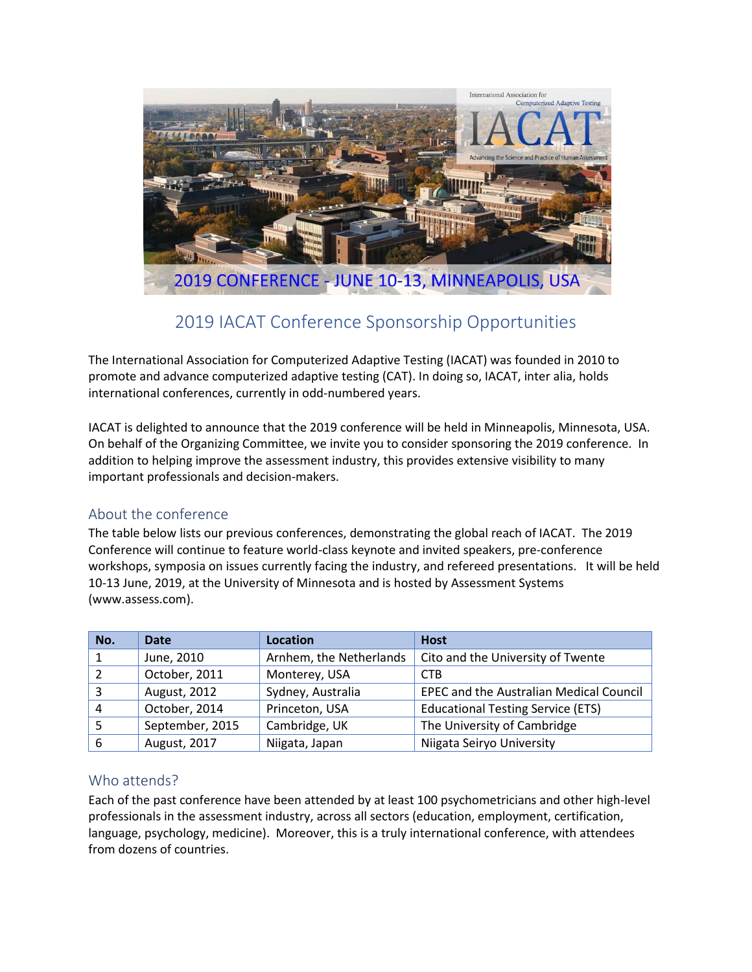

# 2019 IACAT Conference Sponsorship Opportunities

The International Association for Computerized Adaptive Testing (IACAT) was founded in 2010 to promote and advance computerized adaptive testing (CAT). In doing so, IACAT, inter alia, holds international conferences, currently in odd-numbered years.

IACAT is delighted to announce that the 2019 conference will be held in Minneapolis, Minnesota, USA. On behalf of the Organizing Committee, we invite you to consider sponsoring the 2019 conference. In addition to helping improve the assessment industry, this provides extensive visibility to many important professionals and decision-makers.

# About the conference

The table below lists our previous conferences, demonstrating the global reach of IACAT. The 2019 Conference will continue to feature world-class keynote and invited speakers, pre-conference workshops, symposia on issues currently facing the industry, and refereed presentations. It will be held 10-13 June, 2019, at the University of Minnesota and is hosted by Assessment Systems (www.assess.com).

| No.                      | <b>Date</b>     | Location                | <b>Host</b>                                    |
|--------------------------|-----------------|-------------------------|------------------------------------------------|
|                          | June, 2010      | Arnhem, the Netherlands | Cito and the University of Twente              |
| $\overline{\phantom{a}}$ | October, 2011   | Monterey, USA           | <b>CTB</b>                                     |
| Э                        | August, 2012    | Sydney, Australia       | <b>EPEC and the Australian Medical Council</b> |
| 4                        | October, 2014   | Princeton, USA          | <b>Educational Testing Service (ETS)</b>       |
|                          | September, 2015 | Cambridge, UK           | The University of Cambridge                    |
| 6                        | August, 2017    | Niigata, Japan          | Niigata Seiryo University                      |

# Who attends?

Each of the past conference have been attended by at least 100 psychometricians and other high-level professionals in the assessment industry, across all sectors (education, employment, certification, language, psychology, medicine). Moreover, this is a truly international conference, with attendees from dozens of countries.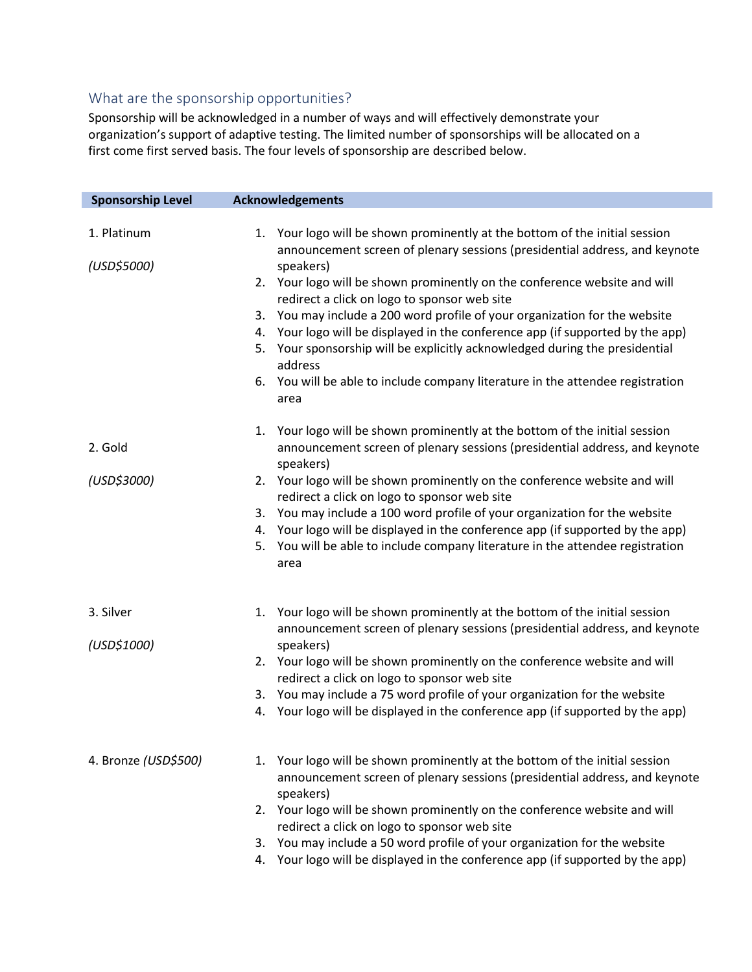# What are the sponsorship opportunities?

Sponsorship will be acknowledged in a number of ways and will effectively demonstrate your organization's support of adaptive testing. The limited number of sponsorships will be allocated on a first come first served basis. The four levels of sponsorship are described below.

| <b>Sponsorship Level</b> | <b>Acknowledgements</b>                                                                                                                                   |
|--------------------------|-----------------------------------------------------------------------------------------------------------------------------------------------------------|
|                          |                                                                                                                                                           |
| 1. Platinum              | 1. Your logo will be shown prominently at the bottom of the initial session<br>announcement screen of plenary sessions (presidential address, and keynote |
| (USD\$5000)              | speakers)                                                                                                                                                 |
|                          | 2. Your logo will be shown prominently on the conference website and will<br>redirect a click on logo to sponsor web site                                 |
|                          | 3. You may include a 200 word profile of your organization for the website                                                                                |
|                          | 4. Your logo will be displayed in the conference app (if supported by the app)                                                                            |
|                          | Your sponsorship will be explicitly acknowledged during the presidential<br>5.<br>address                                                                 |
|                          | 6. You will be able to include company literature in the attendee registration                                                                            |
|                          | area                                                                                                                                                      |
|                          | 1. Your logo will be shown prominently at the bottom of the initial session                                                                               |
| 2. Gold                  | announcement screen of plenary sessions (presidential address, and keynote<br>speakers)                                                                   |
| (USD\$3000)              | 2. Your logo will be shown prominently on the conference website and will                                                                                 |
|                          | redirect a click on logo to sponsor web site                                                                                                              |
|                          | 3. You may include a 100 word profile of your organization for the website                                                                                |
|                          | 4. Your logo will be displayed in the conference app (if supported by the app)                                                                            |
|                          | 5. You will be able to include company literature in the attendee registration<br>area                                                                    |
| 3. Silver                | 1. Your logo will be shown prominently at the bottom of the initial session                                                                               |
|                          | announcement screen of plenary sessions (presidential address, and keynote                                                                                |
| (USD\$1000)              | speakers)                                                                                                                                                 |
|                          | 2. Your logo will be shown prominently on the conference website and will                                                                                 |
|                          | redirect a click on logo to sponsor web site                                                                                                              |
|                          | 3. You may include a 75 word profile of your organization for the website                                                                                 |
|                          | 4. Your logo will be displayed in the conference app (if supported by the app)                                                                            |
|                          |                                                                                                                                                           |
| 4. Bronze (USD\$500)     | 1. Your logo will be shown prominently at the bottom of the initial session                                                                               |
|                          | announcement screen of plenary sessions (presidential address, and keynote<br>speakers)                                                                   |
|                          | 2. Your logo will be shown prominently on the conference website and will                                                                                 |
|                          | redirect a click on logo to sponsor web site                                                                                                              |
|                          | 3. You may include a 50 word profile of your organization for the website                                                                                 |
|                          | 4. Your logo will be displayed in the conference app (if supported by the app)                                                                            |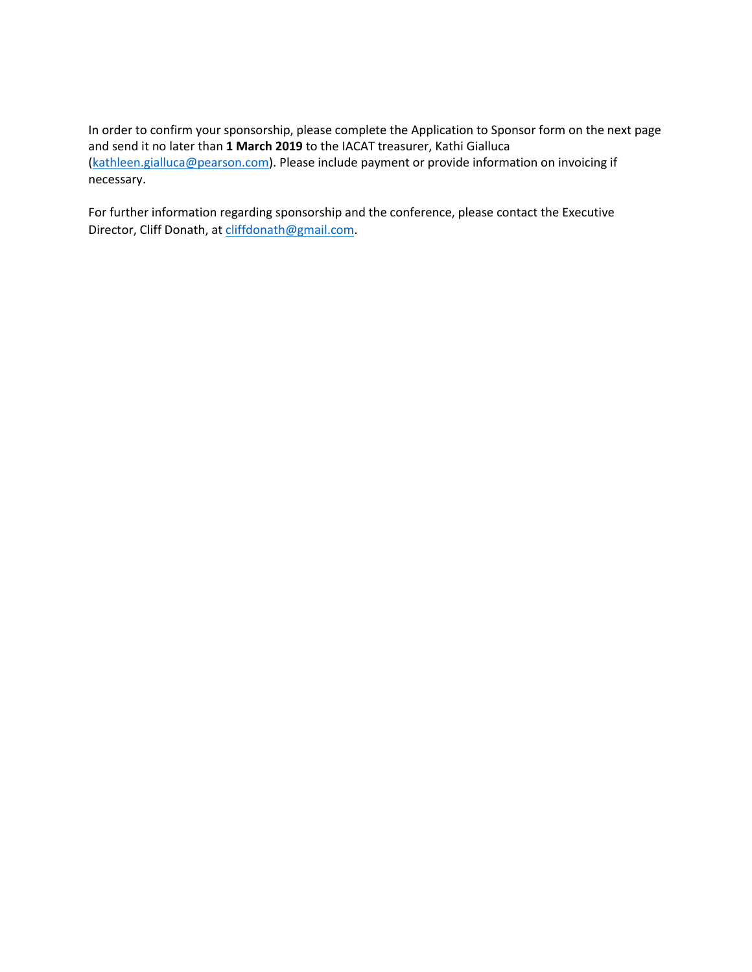In order to confirm your sponsorship, please complete the Application to Sponsor form on the next page and send it no later than **1 March 2019** to the IACAT treasurer, Kathi Gialluca [\(kathleen.gialluca@pearson.com\)](mailto:kathleen.gialluca@pearson.com). Please include payment or provide information on invoicing if necessary.

For further information regarding sponsorship and the conference, please contact the Executive Director, Cliff Donath, a[t cliffdonath@gmail.com.](mailto:cliffdonath@gmail.com)